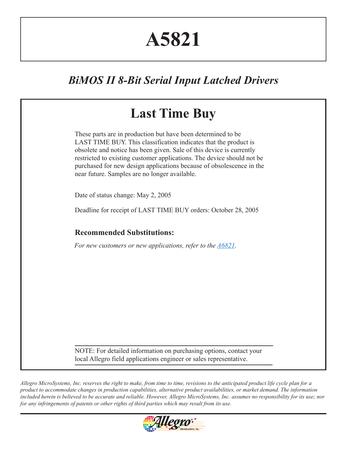# **A5821**

# *BiMOS II 8-Bit Serial Input Latched Drivers*

|                                    | These parts are in production but have been determined to be.<br>LAST TIME BUY. This classification indicates that the product is<br>obsolete and notice has been given. Sale of this device is currently<br>restricted to existing customer applications. The device should not be<br>purchased for new design applications because of obsolescence in the<br>near future. Samples are no longer available. |
|------------------------------------|--------------------------------------------------------------------------------------------------------------------------------------------------------------------------------------------------------------------------------------------------------------------------------------------------------------------------------------------------------------------------------------------------------------|
| Date of status change: May 2, 2005 |                                                                                                                                                                                                                                                                                                                                                                                                              |
|                                    | Deadline for receipt of LAST TIME BUY orders: October 28, 2005                                                                                                                                                                                                                                                                                                                                               |
| <b>Recommended Substitutions:</b>  |                                                                                                                                                                                                                                                                                                                                                                                                              |
|                                    | For new customers or new applications, refer to the $\triangle 6821$ .                                                                                                                                                                                                                                                                                                                                       |
|                                    |                                                                                                                                                                                                                                                                                                                                                                                                              |
|                                    |                                                                                                                                                                                                                                                                                                                                                                                                              |
|                                    |                                                                                                                                                                                                                                                                                                                                                                                                              |
|                                    |                                                                                                                                                                                                                                                                                                                                                                                                              |
|                                    |                                                                                                                                                                                                                                                                                                                                                                                                              |

*Allegro MicroSystems, Inc. reserves the right to make, from time to time, revisions to the anticipated product life cycle plan for a product to accommodate changes in production capabilities, alternative product availabilities, or market demand. The information included herein is believed to be accurate and reliable. However, Allegro MicroSystems, Inc. assumes no responsibility for its use; nor for any infringements of patents or other rights of third parties which may result from its use.*

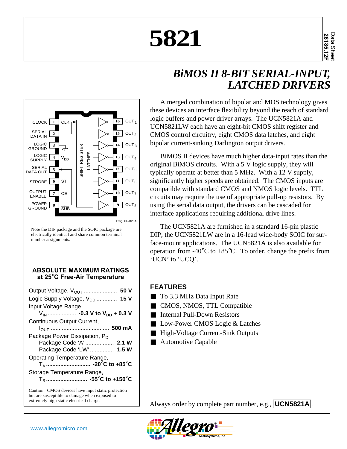# **5821**





Note the DIP package and the SOIC package are electrically identical and share common terminal number assignments.

#### **ABSOLUTE MAXIMUM RATINGS at 25**°**C Free-Air Temperature**

| Output Voltage, V <sub>OUT</sub><br>50 V             |
|------------------------------------------------------|
| Logic Supply Voltage, V <sub>DD</sub><br><b>15 V</b> |
| Input Voltage Range,                                 |
|                                                      |
| Continuous Output Current,                           |
|                                                      |
| Package Power Dissipation, P <sub>D</sub>            |
| Package Code 'A'  2.1 W                              |
| Package Code 'LW'  1.5 W                             |
| Operating Temperature Range,                         |
|                                                      |
| Storage Temperature Range,                           |
|                                                      |
| Caution: CMOS devices have input static protection   |

but are susceptible to damage when exposed to extremely high static electrical charges.

#### A merged combination of bipolar and MOS technology gives these devices an interface flexibility beyond the reach of standard logic buffers and power driver arrays. The UCN5821A and UCN5821LW each have an eight-bit CMOS shift register and CMOS control circuitry, eight CMOS data latches, and eight bipolar current-sinking Darlington output drivers.

BiMOS II devices have much higher data-input rates than the original BiMOS circuits. With a 5 V logic supply, they will typically operate at better than 5 MHz. With a 12 V supply, significantly higher speeds are obtained. The CMOS inputs are compatible with standard CMOS and NMOS logic levels. TTL circuits may require the use of appropriate pull-up resistors. By using the serial data output, the drivers can be cascaded for interface applications requiring additional drive lines.

The UCN5821A are furnished in a standard 16-pin plastic DIP; the UCN5821LW are in a 16-lead wide-body SOIC for surface-mount applications. The UCN5821A is also available for operation from  $-40^{\circ}$ C to  $+85^{\circ}$ C. To order, change the prefix from 'UCN' to 'UCQ'.

#### **FEATURES**

- To 3.3 MHz Data Input Rate
- CMOS, NMOS, TTL Compatible
- Internal Pull-Down Resistors
- Low-Power CMOS Logic & Latches
- High-Voltage Current-Sink Outputs
- Automotive Capable

Always order by complete part number, e.g., **UCN5821A** .

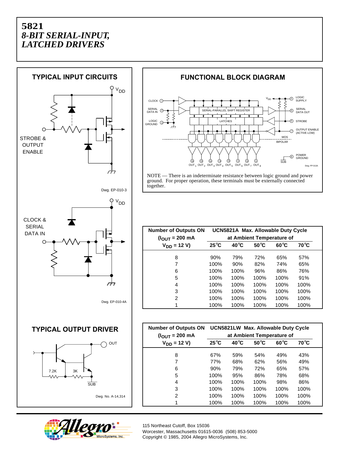





together.

**Number of Outputs ON UCN5821A Max. Allowable Duty Cycle (IOUT = 200 mA at Ambient Temperature of**  $V_{DD} = 12 \text{ V}$  25°C 40°C 50°C 60°C 70°C 8 90% 79% 72% 65% 57% 7 100% 90% 82% 74% 65% 6 100% 100% 96% 86% 76% 5 100% 100% 100% 100% 91% 4 100% 100% 100% 100% 100% 3 100% 100% 100% 100% 100% 2 100% 100% 100% 100% 100% 1 100% 100% 100% 100% 100%

| <b>Number of Outputs ON</b><br>$(IOUT = 200 mA$ | UCN5821LW Max. Allowable Duty Cycle<br>at Ambient Temperature of |                |                |                |      |  |  |  |  |  |
|-------------------------------------------------|------------------------------------------------------------------|----------------|----------------|----------------|------|--|--|--|--|--|
| $V_{DD} = 12 V$                                 | $25^{\circ}$ C                                                   | $40^{\circ}$ C | $50^{\circ}$ C | $60^{\circ}$ C | 70°C |  |  |  |  |  |
| 8                                               | 67%                                                              | 59%            | 54%            | 49%            | 43%  |  |  |  |  |  |
| 7                                               | 77%                                                              | 68%            | 62%            | 56%            | 49%  |  |  |  |  |  |
| 6                                               | 90%                                                              | 79%            | 72%            | 65%            | 57%  |  |  |  |  |  |
| 5                                               | 100%                                                             | 95%            | 86%            | 78%            | 68%  |  |  |  |  |  |
| 4                                               | 100%                                                             | 100%           | 100%           | 98%            | 86%  |  |  |  |  |  |
| 3                                               | 100%                                                             | 100%           | 100%           | 100%           | 100% |  |  |  |  |  |
| 2                                               | 100%                                                             | 100%           | 100%           | 100%           | 100% |  |  |  |  |  |
| 1                                               | 100%                                                             | 100%           | 100%           | 100%           | 100% |  |  |  |  |  |

115 Northeast Cutoff, Box 15036 Worcester, Massachusetts 01615-0036 (508) 853-5000 Copyright © 1985, 2004 Allegro MicroSystems, Inc.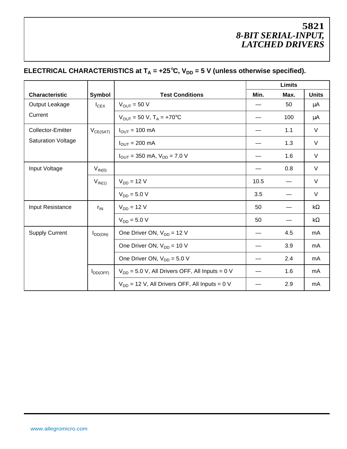# **ELECTRICAL CHARACTERISTICS at**  $T_A = +25^\circ C$ **,**  $V_{DD} = 5$  **V (unless otherwise specified).**

|                           |               |                                                                  |      | Limits |              |  |
|---------------------------|---------------|------------------------------------------------------------------|------|--------|--------------|--|
| <b>Characteristic</b>     | Symbol        | <b>Test Conditions</b>                                           | Min. | Max.   | <b>Units</b> |  |
| Output Leakage            | $I_{CEX}$     | $V_{OUT}$ = 50 V                                                 |      | 50     | μA           |  |
| Current                   |               | $V_{OUT}$ = 50 V, T <sub>A</sub> = +70 <sup>o</sup> C            |      | 100    | μA           |  |
| Collector-Emitter         | $V_{CE(SAT)}$ | $I_{OUT}$ = 100 mA                                               |      | 1.1    | V            |  |
| <b>Saturation Voltage</b> |               | $I_{\text{OUT}} = 200 \text{ mA}$                                |      | 1.3    | V            |  |
|                           |               | $I_{\text{OUT}} = 350 \text{ mA}, V_{\text{DD}} = 7.0 \text{ V}$ |      | 1.6    | $\vee$       |  |
| Input Voltage             | $V_{IN(0)}$   |                                                                  |      | 0.8    | V            |  |
|                           | $V_{IN(1)}$   | 10.5                                                             |      | V      |              |  |
|                           |               | $V_{DD} = 5.0 V$                                                 | 3.5  |        | V            |  |
| Input Resistance          | $r_{IN}$      | $V_{DD} = 12 V$                                                  | 50   |        | $k\Omega$    |  |
|                           |               | $V_{DD} = 5.0 V$                                                 | 50   |        | $k\Omega$    |  |
| <b>Supply Current</b>     | $I_{DD(ON)}$  | One Driver ON, $V_{DD} = 12 V$                                   |      | 4.5    | mA           |  |
|                           |               | One Driver ON, $V_{DD} = 10 V$                                   |      | 3.9    | mA           |  |
|                           |               | One Driver ON, $V_{DD} = 5.0 V$                                  |      | 2.4    | mA           |  |
|                           | $I_{DD(OFF)}$ | $V_{DD}$ = 5.0 V, All Drivers OFF, All Inputs = 0 V              |      | 1.6    | mA           |  |
|                           |               | $V_{DD}$ = 12 V, All Drivers OFF, All Inputs = 0 V               |      | 2.9    | mA           |  |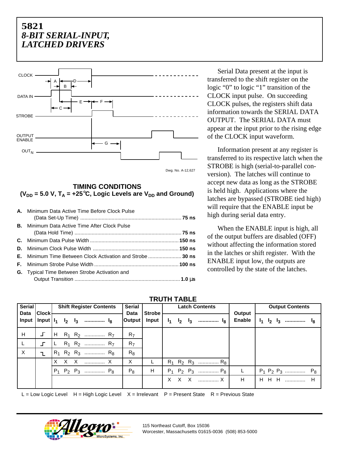

#### **TIMING CONDITIONS**  $(V_{DD} = 5.0 V, T_A = +25$ °C, Logic Levels are  $V_{DD}$  and Ground)

| A. Minimum Data Active Time Before Clock Pulse                    |  |
|-------------------------------------------------------------------|--|
|                                                                   |  |
| <b>B.</b> Minimum Data Active Time After Clock Pulse              |  |
|                                                                   |  |
|                                                                   |  |
|                                                                   |  |
| <b>E.</b> Minimum Time Between Clock Activation and Strobe  30 ns |  |
|                                                                   |  |
| <b>G.</b> Typical Time Between Strobe Activation and              |  |
|                                                                   |  |

Serial Data present at the input is transferred to the shift register on the logic "0" to logic "1" transition of the CLOCK input pulse. On succeeding CLOCK pulses, the registers shift data information towards the SERIAL DATA OUTPUT. The SERIAL DATA must appear at the input prior to the rising edge of the CLOCK input waveform.

Information present at any register is transferred to its respective latch when the STROBE is high (serial-to-parallel conversion). The latches will continue to accept new data as long as the STROBE is held high. Applications where the latches are bypassed (STROBE tied high) will require that the ENABLE input be high during serial data entry.

When the ENABLE input is high, all of the output buffers are disabled (OFF) without affecting the information stored in the latches or shift register. With the ENABLE input low, the outputs are controlled by the state of the latches.

| Serial<br>Data | Clock        | <b>Shift Register Contents</b> |  |  |                                                  | <b>Serial</b><br>Data | Strobe         | <b>Latch Contents</b> |  |             |                |                         | <b>Output Contents</b> |  |             |                |                         |  |
|----------------|--------------|--------------------------------|--|--|--------------------------------------------------|-----------------------|----------------|-----------------------|--|-------------|----------------|-------------------------|------------------------|--|-------------|----------------|-------------------------|--|
| Input          |              |                                |  |  | $Input  I_1 I_2 I_3 $ $I_8$                      |                       | Output         | $Input \mid$          |  | $I_1$ $I_2$ | $\mathbf{I}_3$ | I <sub>8</sub>          | Output<br>Enable       |  | $I_1$ $I_2$ | $\mathbf{I}_3$ |                         |  |
| H              | $\mathbf{I}$ |                                |  |  | $H$ R <sub>1</sub> R <sub>2</sub> R <sub>7</sub> |                       | R <sub>7</sub> |                       |  |             |                |                         |                        |  |             |                |                         |  |
|                | ╶            | L.                             |  |  | $R_1$ $R_2$ $R_7$                                |                       | R <sub>7</sub> |                       |  |             |                |                         |                        |  |             |                |                         |  |
| $\times$       | $\mathbf{L}$ |                                |  |  | $R_1$ $R_2$ $R_3$ $R_8$                          |                       | $R_8$          |                       |  |             |                |                         |                        |  |             |                |                         |  |
|                |              |                                |  |  | X X X  X                                         |                       | X              |                       |  |             |                | $R_1$ $R_2$ $R_3$ $R_8$ |                        |  |             |                |                         |  |
|                |              |                                |  |  | $P_1$ $P_2$ $P_3$ $P_8$                          |                       | $P_8$          | H                     |  |             |                | $P_1$ $P_2$ $P_3$ $P_8$ |                        |  |             |                | $P_1$ $P_2$ $P_3$ $P_8$ |  |
|                |              |                                |  |  |                                                  |                       |                |                       |  |             |                | X X X  X                | H                      |  |             |                | H H H  H                |  |

 **TRUTH TABLE**

L = Low Logic Level  $H = High Logic Level \ X = Irrelevant \ P = Present State \ R = Previous State$ 

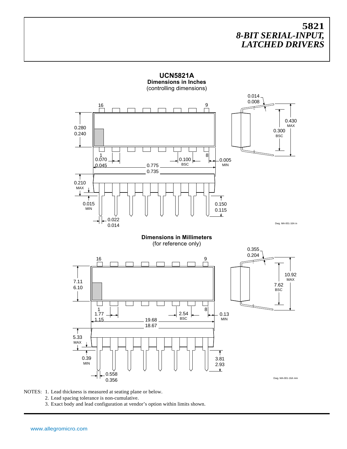

**UCN5821A Dimensions in Inches**

NOTES: 1. Lead thickness is measured at seating plane or below.

2. Lead spacing tolerance is non-cumulative.

3. Exact body and lead configuration at vendor's option within limits shown.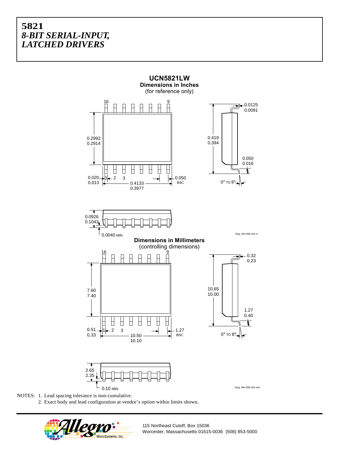

NOTES: 1. Lead spacing tolerance is non-cumulative.

2. Exact body and lead configuration at vendor's option within limits shown.



115 Northeast Cutoff, Box 15036 Worcester, Massachusetts 01615-0036 (508) 853-5000